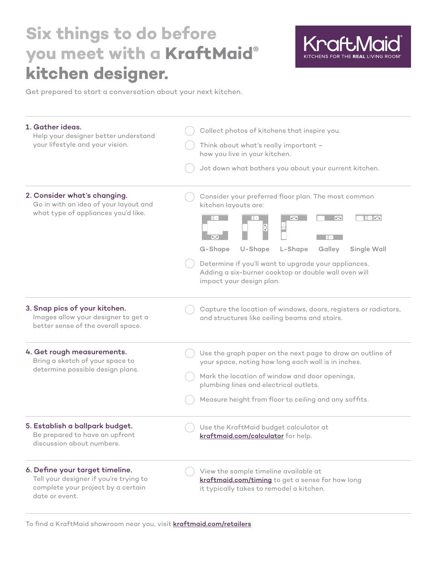## **Six things to do before you meet with a KraftMaid® kitchen designer.**



Get prepared to start a conversation about your next kitchen.

| 1. Gather ideas.<br>Help your designer better understand<br>your lifestyle and your vision.                                       | Collect photos of kitchens that inspire you.<br>Think about what's really important -<br>how you live in your kitchen.<br>Jot down what bothers you about your current kitchen.                                                                                                                                                                                                                          |
|-----------------------------------------------------------------------------------------------------------------------------------|----------------------------------------------------------------------------------------------------------------------------------------------------------------------------------------------------------------------------------------------------------------------------------------------------------------------------------------------------------------------------------------------------------|
| 2. Consider what's changing.<br>Go in with an idea of your layout and<br>what type of appliances you'd like.                      | Consider your preferred floor plan. The most common<br>kitchen layouts are:<br>$\mathbb{R}[\mathbb{Z}^n]$ and<br>$\mathbf{e}^{\mathbf{e}\cdot\mathbf{e}}$<br>$\overline{\bullet_{a,a}^{-}\bullet}$<br>G-Shape<br>U-Shape<br>L-Shape<br>Galley<br>Single Wall<br>Determine if you'll want to upgrade your appliances.<br>Adding a six-burner cooktop or double wall oven will<br>impact your design plan. |
| 3. Snap pics of your kitchen.<br>Images allow your designer to get a<br>better sense of the overall space.                        | Capture the location of windows, doors, registers or radiators,<br>and structures like ceiling beams and stairs.                                                                                                                                                                                                                                                                                         |
| 4. Get rough measurements.<br>Bring a sketch of your space to<br>determine possible design plans.                                 | Use the graph paper on the next page to draw an outline of<br>your space, noting how long each wall is in inches.<br>Mark the location of window and door openings,<br>plumbing lines and electrical outlets.<br>Measure height from floor to ceiling and any soffits.                                                                                                                                   |
| 5. Establish a ballpark budget.<br>Be prepared to have an upfront<br>discussion about numbers.                                    | Use the KraftMaid budget calculator at<br>kraftmaid.com/calculator for help.                                                                                                                                                                                                                                                                                                                             |
| 6. Define your target timeline.<br>Tell your designer if you're trying to<br>complete your project by a certain<br>date or event. | View the sample timeline available at<br>kraftmaid.com/timing to get a sense for how long<br>it typically takes to remodel a kitchen.                                                                                                                                                                                                                                                                    |